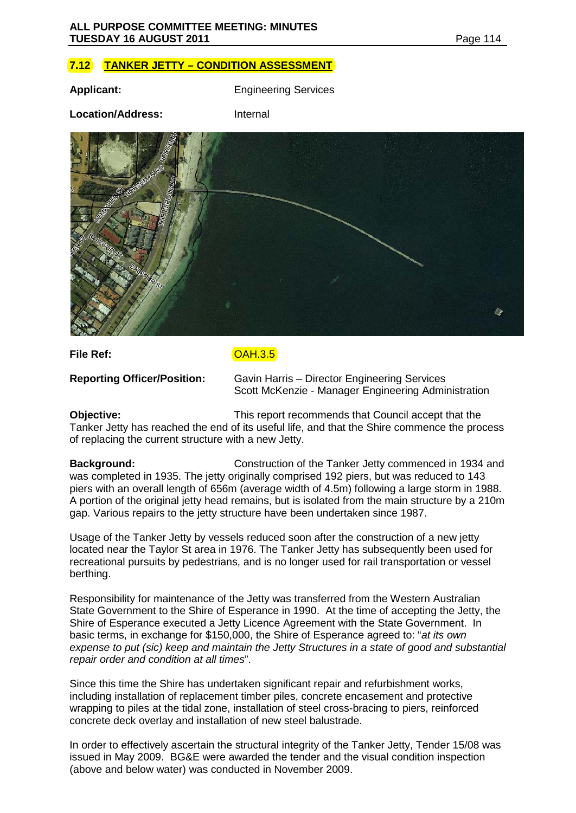# **7.12 TANKER JETTY – CONDITION ASSESSMENT**

**Applicant:** Engineering Services

**Location/Address:** Internal



**File Ref:** COAH.3.5

**Reporting Officer/Position:** Gavin Harris – Director Engineering Services Scott McKenzie - Manager Engineering Administration

**Objective:** This report recommends that Council accept that the Tanker Jetty has reached the end of its useful life, and that the Shire commence the process of replacing the current structure with a new Jetty.

**Background:** Construction of the Tanker Jetty commenced in 1934 and was completed in 1935. The jetty originally comprised 192 piers, but was reduced to 143 piers with an overall length of 656m (average width of 4.5m) following a large storm in 1988. A portion of the original jetty head remains, but is isolated from the main structure by a 210m gap. Various repairs to the jetty structure have been undertaken since 1987.

Usage of the Tanker Jetty by vessels reduced soon after the construction of a new jetty located near the Taylor St area in 1976. The Tanker Jetty has subsequently been used for recreational pursuits by pedestrians, and is no longer used for rail transportation or vessel berthing.

Responsibility for maintenance of the Jetty was transferred from the Western Australian State Government to the Shire of Esperance in 1990. At the time of accepting the Jetty, the Shire of Esperance executed a Jetty Licence Agreement with the State Government. In basic terms, in exchange for \$150,000, the Shire of Esperance agreed to: "*at its own expense to put (sic) keep and maintain the Jetty Structures in a state of good and substantial repair order and condition at all times*".

Since this time the Shire has undertaken significant repair and refurbishment works, including installation of replacement timber piles, concrete encasement and protective wrapping to piles at the tidal zone, installation of steel cross-bracing to piers, reinforced concrete deck overlay and installation of new steel balustrade.

In order to effectively ascertain the structural integrity of the Tanker Jetty, Tender 15/08 was issued in May 2009. BG&E were awarded the tender and the visual condition inspection (above and below water) was conducted in November 2009.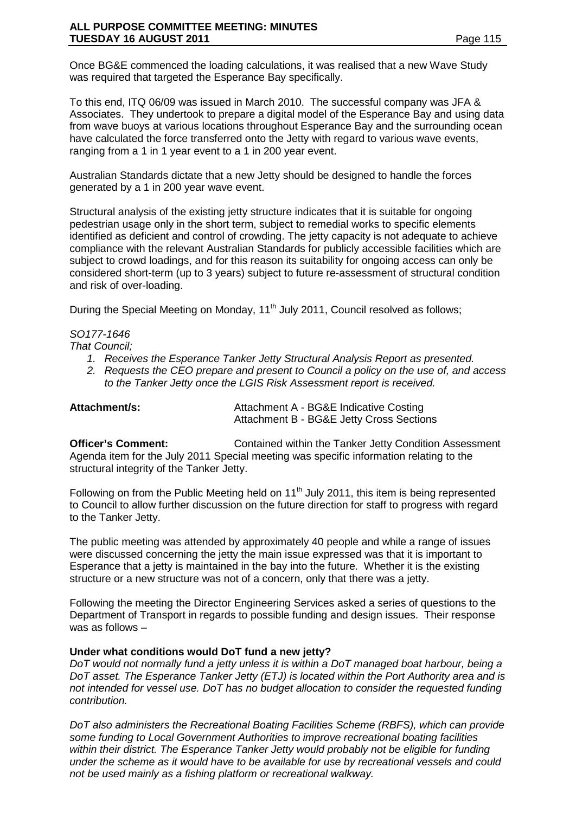Once BG&E commenced the loading calculations, it was realised that a new Wave Study was required that targeted the Esperance Bay specifically.

To this end, ITQ 06/09 was issued in March 2010. The successful company was JFA & Associates. They undertook to prepare a digital model of the Esperance Bay and using data from wave buoys at various locations throughout Esperance Bay and the surrounding ocean have calculated the force transferred onto the Jetty with regard to various wave events, ranging from a 1 in 1 year event to a 1 in 200 year event.

Australian Standards dictate that a new Jetty should be designed to handle the forces generated by a 1 in 200 year wave event.

Structural analysis of the existing jetty structure indicates that it is suitable for ongoing pedestrian usage only in the short term, subject to remedial works to specific elements identified as deficient and control of crowding. The jetty capacity is not adequate to achieve compliance with the relevant Australian Standards for publicly accessible facilities which are subject to crowd loadings, and for this reason its suitability for ongoing access can only be considered short-term (up to 3 years) subject to future re-assessment of structural condition and risk of over-loading.

During the Special Meeting on Monday, 11<sup>th</sup> July 2011, Council resolved as follows;

### *SO177-1646*

*That Council;*

- *1. Receives the Esperance Tanker Jetty Structural Analysis Report as presented.*
- *2. Requests the CEO prepare and present to Council a policy on the use of, and access to the Tanker Jetty once the LGIS Risk Assessment report is received.*

Attachment/s: Attachment A - BG&E Indicative Costing Attachment B - BG&E Jetty Cross Sections

**Officer's Comment:** Contained within the Tanker Jetty Condition Assessment Agenda item for the July 2011 Special meeting was specific information relating to the structural integrity of the Tanker Jetty.

Following on from the Public Meeting held on 11<sup>th</sup> July 2011, this item is being represented to Council to allow further discussion on the future direction for staff to progress with regard to the Tanker Jetty.

The public meeting was attended by approximately 40 people and while a range of issues were discussed concerning the jetty the main issue expressed was that it is important to Esperance that a jetty is maintained in the bay into the future. Whether it is the existing structure or a new structure was not of a concern, only that there was a jetty.

Following the meeting the Director Engineering Services asked a series of questions to the Department of Transport in regards to possible funding and design issues. Their response was as follows –

## **Under what conditions would DoT fund a new jetty?**

*DoT would not normally fund a jetty unless it is within a DoT managed boat harbour, being a DoT asset. The Esperance Tanker Jetty (ETJ) is located within the Port Authority area and is not intended for vessel use. DoT has no budget allocation to consider the requested funding contribution.* 

*DoT also administers the Recreational Boating Facilities Scheme (RBFS), which can provide some funding to Local Government Authorities to improve recreational boating facilities within their district. The Esperance Tanker Jetty would probably not be eligible for funding under the scheme as it would have to be available for use by recreational vessels and could not be used mainly as a fishing platform or recreational walkway.*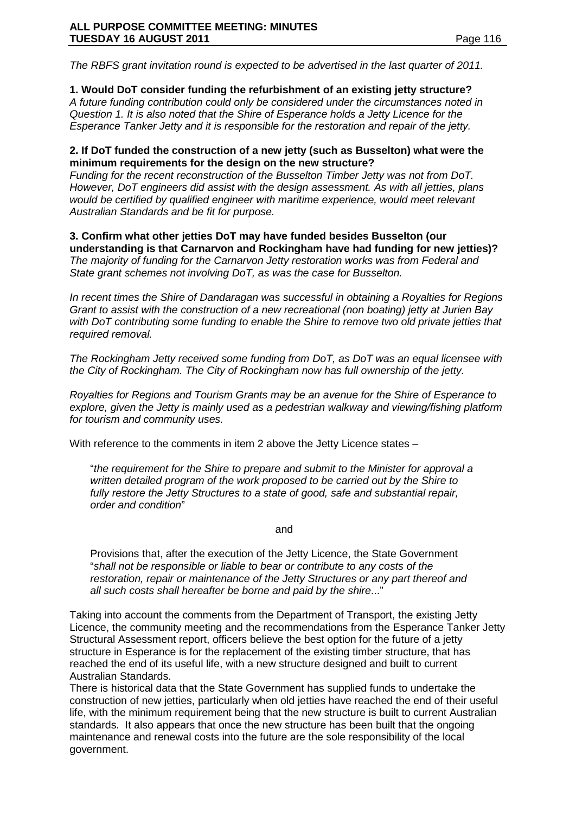*The RBFS grant invitation round is expected to be advertised in the last quarter of 2011.* 

## **1. Would DoT consider funding the refurbishment of an existing jetty structure?**

*A future funding contribution could only be considered under the circumstances noted in Question 1. It is also noted that the Shire of Esperance holds a Jetty Licence for the Esperance Tanker Jetty and it is responsible for the restoration and repair of the jetty.* 

#### **2. If DoT funded the construction of a new jetty (such as Busselton) what were the minimum requirements for the design on the new structure?**

*Funding for the recent reconstruction of the Busselton Timber Jetty was not from DoT. However, DoT engineers did assist with the design assessment. As with all jetties, plans would be certified by qualified engineer with maritime experience, would meet relevant Australian Standards and be fit for purpose.*

**3. Confirm what other jetties DoT may have funded besides Busselton (our understanding is that Carnarvon and Rockingham have had funding for new jetties)?** *The majority of funding for the Carnarvon Jetty restoration works was from Federal and State grant schemes not involving DoT, as was the case for Busselton.* 

*In recent times the Shire of Dandaragan was successful in obtaining a Royalties for Regions Grant to assist with the construction of a new recreational (non boating) jetty at Jurien Bay with DoT contributing some funding to enable the Shire to remove two old private jetties that required removal.*

*The Rockingham Jetty received some funding from DoT, as DoT was an equal licensee with the City of Rockingham. The City of Rockingham now has full ownership of the jetty.*

*Royalties for Regions and Tourism Grants may be an avenue for the Shire of Esperance to explore, given the Jetty is mainly used as a pedestrian walkway and viewing/fishing platform for tourism and community uses.*

With reference to the comments in item 2 above the Jetty Licence states –

"*the requirement for the Shire to prepare and submit to the Minister for approval a written detailed program of the work proposed to be carried out by the Shire to fully restore the Jetty Structures to a state of good, safe and substantial repair, order and condition*"

and

Provisions that, after the execution of the Jetty Licence, the State Government "*shall not be responsible or liable to bear or contribute to any costs of the restoration, repair or maintenance of the Jetty Structures or any part thereof and all such costs shall hereafter be borne and paid by the shire*..."

Taking into account the comments from the Department of Transport, the existing Jetty Licence, the community meeting and the recommendations from the Esperance Tanker Jetty Structural Assessment report, officers believe the best option for the future of a jetty structure in Esperance is for the replacement of the existing timber structure, that has reached the end of its useful life, with a new structure designed and built to current Australian Standards.

There is historical data that the State Government has supplied funds to undertake the construction of new jetties, particularly when old jetties have reached the end of their useful life, with the minimum requirement being that the new structure is built to current Australian standards. It also appears that once the new structure has been built that the ongoing maintenance and renewal costs into the future are the sole responsibility of the local government.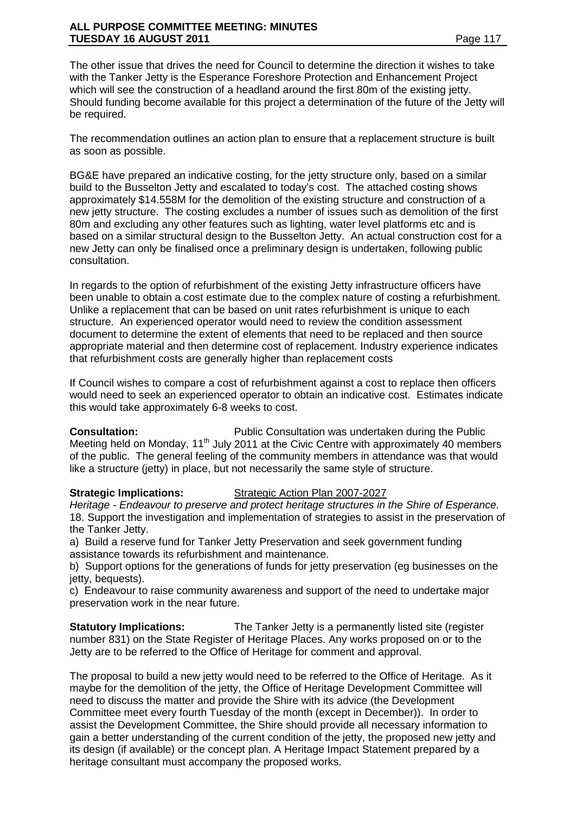The other issue that drives the need for Council to determine the direction it wishes to take with the Tanker Jetty is the Esperance Foreshore Protection and Enhancement Project which will see the construction of a headland around the first 80m of the existing jetty. Should funding become available for this project a determination of the future of the Jetty will be required.

The recommendation outlines an action plan to ensure that a replacement structure is built as soon as possible.

BG&E have prepared an indicative costing, for the jetty structure only, based on a similar build to the Busselton Jetty and escalated to today's cost. The attached costing shows approximately \$14.558M for the demolition of the existing structure and construction of a new jetty structure. The costing excludes a number of issues such as demolition of the first 80m and excluding any other features such as lighting, water level platforms etc and is based on a similar structural design to the Busselton Jetty. An actual construction cost for a new Jetty can only be finalised once a preliminary design is undertaken, following public consultation.

In regards to the option of refurbishment of the existing Jetty infrastructure officers have been unable to obtain a cost estimate due to the complex nature of costing a refurbishment. Unlike a replacement that can be based on unit rates refurbishment is unique to each structure. An experienced operator would need to review the condition assessment document to determine the extent of elements that need to be replaced and then source appropriate material and then determine cost of replacement. Industry experience indicates that refurbishment costs are generally higher than replacement costs

If Council wishes to compare a cost of refurbishment against a cost to replace then officers would need to seek an experienced operator to obtain an indicative cost. Estimates indicate this would take approximately 6-8 weeks to cost.

**Consultation:** Public Consultation was undertaken during the Public Meeting held on Monday, 11<sup>th</sup> July 2011 at the Civic Centre with approximately 40 members of the public. The general feeling of the community members in attendance was that would like a structure (jetty) in place, but not necessarily the same style of structure.

## **Strategic Implications:** Strategic Action Plan 2007-2027

*Heritage - Endeavour to preserve and protect heritage structures in the Shire of Esperance.* 18. Support the investigation and implementation of strategies to assist in the preservation of the Tanker Jetty.

a) Build a reserve fund for Tanker Jetty Preservation and seek government funding assistance towards its refurbishment and maintenance.

b) Support options for the generations of funds for jetty preservation (eg businesses on the jetty, bequests).

c) Endeavour to raise community awareness and support of the need to undertake major preservation work in the near future.

**Statutory Implications:** The Tanker Jetty is a permanently listed site (register number 831) on the State Register of Heritage Places. Any works proposed on or to the Jetty are to be referred to the Office of Heritage for comment and approval.

The proposal to build a new jetty would need to be referred to the Office of Heritage. As it maybe for the demolition of the jetty, the Office of Heritage Development Committee will need to discuss the matter and provide the Shire with its advice (the Development Committee meet every fourth Tuesday of the month (except in December)). In order to assist the Development Committee, the Shire should provide all necessary information to gain a better understanding of the current condition of the jetty, the proposed new jetty and its design (if available) or the concept plan. A Heritage Impact Statement prepared by a heritage consultant must accompany the proposed works.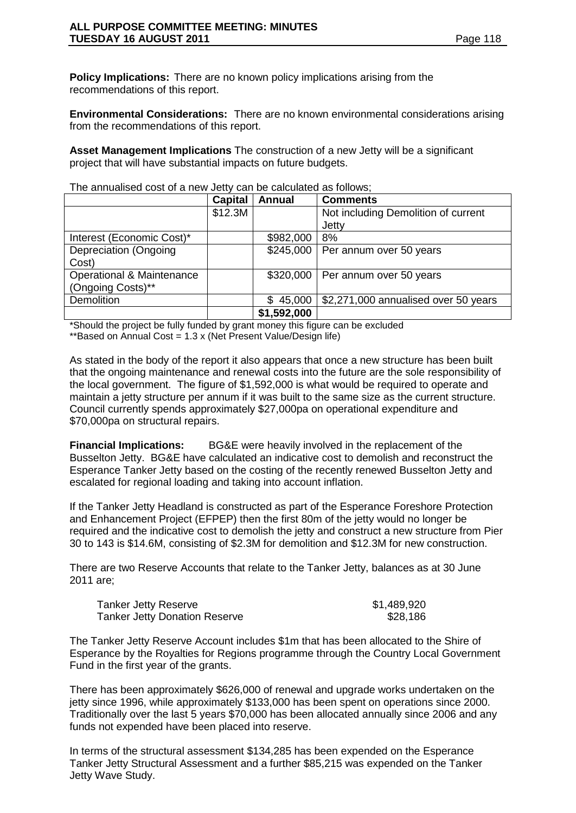**Policy Implications:** There are no known policy implications arising from the recommendations of this report.

**Environmental Considerations:** There are no known environmental considerations arising from the recommendations of this report.

**Asset Management Implications** The construction of a new Jetty will be a significant project that will have substantial impacts on future budgets.

|                                      | <b>Capital</b> | Annual        | <b>Comments</b>                      |
|--------------------------------------|----------------|---------------|--------------------------------------|
|                                      | \$12.3M        |               | Not including Demolition of current  |
|                                      |                |               | Jetty                                |
| Interest (Economic Cost)*            |                | \$982,000     | 8%                                   |
| Depreciation (Ongoing                |                | \$245,000     | Per annum over 50 years              |
| Cost)                                |                |               |                                      |
| <b>Operational &amp; Maintenance</b> |                | \$320,000     | Per annum over 50 years              |
| (Ongoing Costs)**                    |                |               |                                      |
| <b>Demolition</b>                    |                | 45,000<br>\$. | \$2,271,000 annualised over 50 years |
|                                      |                | \$1,592,000   |                                      |

The annualised cost of a new Jetty can be calculated as follows;

\*Should the project be fully funded by grant money this figure can be excluded \*\*Based on Annual Cost = 1.3 x (Net Present Value/Design life)

As stated in the body of the report it also appears that once a new structure has been built that the ongoing maintenance and renewal costs into the future are the sole responsibility of the local government. The figure of \$1,592,000 is what would be required to operate and maintain a jetty structure per annum if it was built to the same size as the current structure. Council currently spends approximately \$27,000pa on operational expenditure and \$70,000pa on structural repairs.

**Financial Implications:** BG&E were heavily involved in the replacement of the Busselton Jetty. BG&E have calculated an indicative cost to demolish and reconstruct the Esperance Tanker Jetty based on the costing of the recently renewed Busselton Jetty and escalated for regional loading and taking into account inflation.

If the Tanker Jetty Headland is constructed as part of the Esperance Foreshore Protection and Enhancement Project (EFPEP) then the first 80m of the jetty would no longer be required and the indicative cost to demolish the jetty and construct a new structure from Pier 30 to 143 is \$14.6M, consisting of \$2.3M for demolition and \$12.3M for new construction.

There are two Reserve Accounts that relate to the Tanker Jetty, balances as at 30 June 2011 are;

| <b>Tanker Jetty Reserve</b>          | \$1,489,920 |
|--------------------------------------|-------------|
| <b>Tanker Jetty Donation Reserve</b> | \$28,186    |

The Tanker Jetty Reserve Account includes \$1m that has been allocated to the Shire of Esperance by the Royalties for Regions programme through the Country Local Government Fund in the first year of the grants.

There has been approximately \$626,000 of renewal and upgrade works undertaken on the jetty since 1996, while approximately \$133,000 has been spent on operations since 2000. Traditionally over the last 5 years \$70,000 has been allocated annually since 2006 and any funds not expended have been placed into reserve.

In terms of the structural assessment \$134,285 has been expended on the Esperance Tanker Jetty Structural Assessment and a further \$85,215 was expended on the Tanker Jetty Wave Study.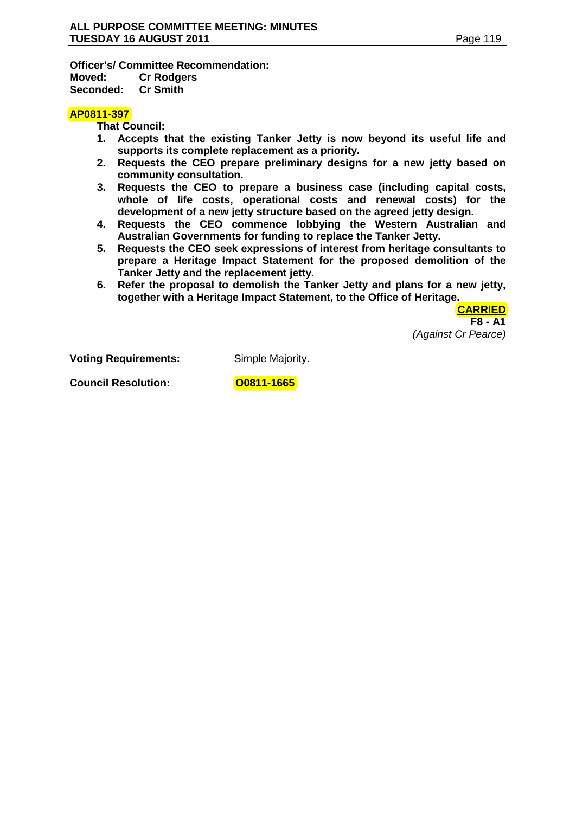**Officer's/ Committee Recommendation: Moved: Cr Rodgers Seconded:** 

#### **AP0811-397**

**That Council:**

- **1. Accepts that the existing Tanker Jetty is now beyond its useful life and supports its complete replacement as a priority.**
- **2. Requests the CEO prepare preliminary designs for a new jetty based on community consultation.**
- **3. Requests the CEO to prepare a business case (including capital costs, whole of life costs, operational costs and renewal costs) for the development of a new jetty structure based on the agreed jetty design.**
- **4. Requests the CEO commence lobbying the Western Australian and Australian Governments for funding to replace the Tanker Jetty.**
- **5. Requests the CEO seek expressions of interest from heritage consultants to prepare a Heritage Impact Statement for the proposed demolition of the Tanker Jetty and the replacement jetty.**
- **6. Refer the proposal to demolish the Tanker Jetty and plans for a new jetty, together with a Heritage Impact Statement, to the Office of Heritage.**

**CARRIED F8 - A1** *(Against Cr Pearce)*

**Voting Requirements:** Simple Majority.

**Council Resolution:** 00811-1665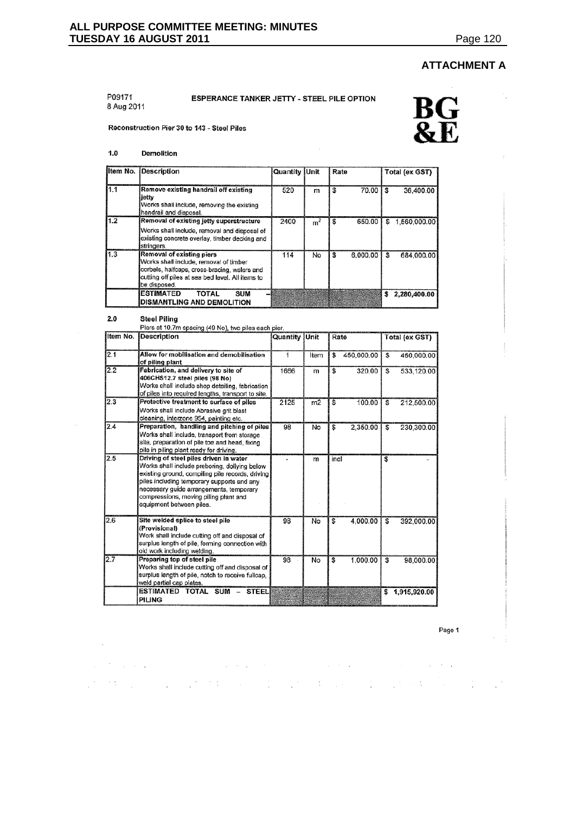$\hat{\mathcal{L}}$ 

l,

# **ATTACHMENT A**

#### P09171 8 Aug 2011

# ESPERANCE TANKER JETTY - STEEL PILE OPTION



Reconstruction Pier 30 to 143 - Steel Piles

 $1.0$ Demolition

| Item No. | Description                                                                                                                                                                             | Quantity   Unit |       | Rate         | Total (ex GST)     |
|----------|-----------------------------------------------------------------------------------------------------------------------------------------------------------------------------------------|-----------------|-------|--------------|--------------------|
| 1.1      | Remove existing handrail off existing<br>iettv<br>Works shall include, removing the existing<br>handrail and disposal.                                                                  | 520             | m     | 70.00<br>S   | 36.400.00<br>\$    |
| 1.2      | Removal of existing jetty superstructure<br>Works shall include, removal and disposal of<br>existing concrete overlay, timber decking and<br>stringers.                                 | 2400            | $m^2$ | 650.00<br>£. | 1,560,000.00<br>£  |
| 1.3      | Removal of existing piers<br>Works shall include, removal of timber<br>corbels, halfcaps, cross-bracing, walers and<br>cutting off piles at sea bed level. All items to<br>be disposed. | 114             | No    | 6,000.00     | 684,000.00<br>l Si |
|          | <b>ESTIMATED</b><br><b>TOTAL</b><br><b>SUM</b><br><b>DISMANTLING AND DEMOLITION</b>                                                                                                     |                 |       |              | 2,280,400.00<br>s  |

**Steel Piling**  $2.0$ 

 $\sim$ 

|          | Piers at 10.7m spacing (49 No), two piles each pier.                                                                                                                                                                                                                                                      |                      |      |      |            |                         |                |
|----------|-----------------------------------------------------------------------------------------------------------------------------------------------------------------------------------------------------------------------------------------------------------------------------------------------------------|----------------------|------|------|------------|-------------------------|----------------|
| Item No. | <b>Description</b>                                                                                                                                                                                                                                                                                        | <b>Quantity Unit</b> |      | Rate |            |                         | Total (ex GST) |
| 2.1      | Allow for mobilisation and demobilisation<br>of piling plant                                                                                                                                                                                                                                              | 1                    | Item | \$   | 450,000.00 | \$.                     | 450,000.00     |
| 2.2      | Fabrication, and delivery to site of<br>406CHS12.7 steel piles (98 No)<br>Works shall include shop detailing, fabrication<br>of piles into required lengths, transport to site.                                                                                                                           | 1666                 | m    | \$   | 320.00     | S                       | 533,120.00     |
| 2.3      | Protective treatment to surface of piles<br>Works shall include Abrasive grit blast<br>cleaning, interzone 954, painting etc.                                                                                                                                                                             | 2125                 | m2   | S    | 100.00     | \$                      | 212,500.00     |
| 2.4      | Preparation, handling and pitching of piles<br>Works shall include, transport from storage<br>site, preparation of pile toe and head, fixing<br>pile in piling plant ready for driving.                                                                                                                   | 98                   | No   | \$   | 2,350.00   | \$                      | 230,300.00     |
| 2.5      | Driving of steel piles driven in water<br>Works shall include preboring, dollying below<br>existing ground, compiling pile records, driving<br>piles including temporary supports and any<br>necessary guide arrangements, temporary<br>compressions, moving piling plant and<br>equipment between piles. |                      | m    | incl |            | \$                      |                |
| 2.6      | Site welded splice to steel pile<br>(Provisional)<br>Work shall include cutting off and disposal of<br>surplus length of pile, forming connection with<br>old work including welding.                                                                                                                     | 98                   | No   | S    | 4,000.00   | S                       | 392,000.00     |
| 2.7      | Preparing top of steel pile<br>Works shall include cutting off and disposal of<br>surplus length of pile, notch to receive fullcap.<br>weld partial cap plates.                                                                                                                                           | 98                   | No   | \$   | 1,000.00   | $\overline{\mathbb{S}}$ | 98,000.00      |
|          | <b>ESTIMATED TOTAL</b><br>$SUM -$<br><b>STEEL</b><br>PILING                                                                                                                                                                                                                                               |                      |      |      |            | \$                      | 1,915,920.00   |

 $\mathcal{L}$  . The set of the set of the set of the set of the set of the set of the set of the set of the set de les productions de la company de la production de la company de la company de la company de la company de l

Page 1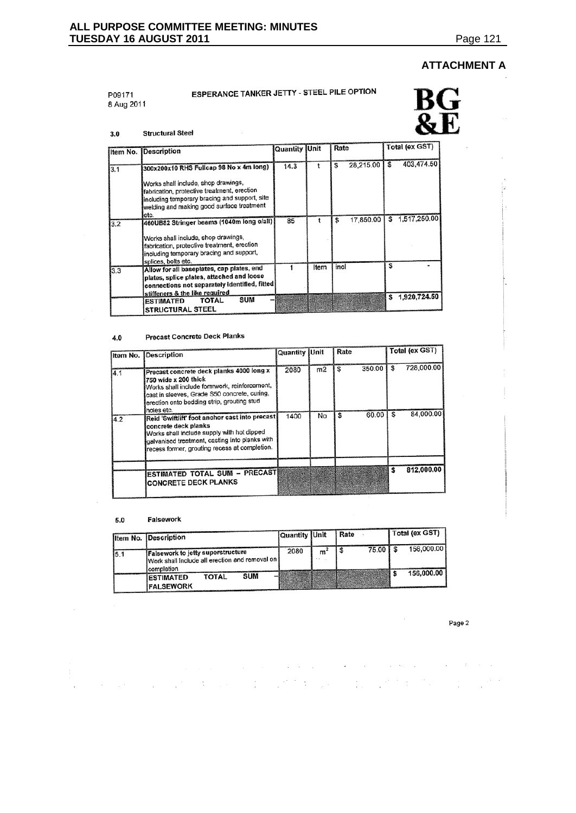ių.

# **ATTACHMENT A**

P09171 8 Aug 2011

# ESPERANCE TANKER JETTY - STEEL PILE OPTION



#### $3.0$ **Structural Steel**

|     | Item No. Description                                                                                                                                                                               | <b>Quantity Unit</b> |      | Rate            | Total (ex GST)     |
|-----|----------------------------------------------------------------------------------------------------------------------------------------------------------------------------------------------------|----------------------|------|-----------------|--------------------|
|     |                                                                                                                                                                                                    | 14.3                 |      | 28,215.00<br>S  | 403,474.50<br>£.   |
| 3.1 | 300x200x10 RHS Fullcap 98 No x 4m long)                                                                                                                                                            |                      |      |                 |                    |
|     | Works shall include, shop drawings,<br>fabrication, protective treatment, erection<br>including temporary bracing and support, site<br>welding and making good surface treatment<br>etc.           |                      |      |                 |                    |
| 3.2 | 460UB82 Stringer beams (1040m long o/all)<br>Works shall include, shop drawings,<br>fabrication, protective treatment, erection<br>including temporary bracing and support,<br>splices, bolts etc. | 85                   |      | 17,850.00<br>\$ | \$1,517,250.00     |
| 3.3 | Allow for all baseplates, cap plates, end<br>plates, splice plates, attached and loose<br>connections not separately identified, fitted                                                            |                      | Item | incl            | S                  |
|     | stiffeners & the like required<br>SUM<br><b>TOTAL</b><br><b>ESTIMATED</b><br><b>STRUCTURAL STEEL</b>                                                                                               |                      |      |                 | 1,920,724.50<br>\$ |

#### **Precast Concrete Deck Planks**  $\bf 4.0$

|      | Item No. Description                                                                                                                                                                                                         | Quantity Unit |    | Rate         |   | Total (ex GST) |
|------|------------------------------------------------------------------------------------------------------------------------------------------------------------------------------------------------------------------------------|---------------|----|--------------|---|----------------|
| 14.1 | Precast concrete deck planks 4000 long x<br>750 wide x 200 thick<br>Works shall include formwork, reinforcement,<br>cast in sleeves, Grade S50 concrete, curing,<br>erection onto bedding strip, grouting stud<br>holes etc. | 2080          | m2 | 350.00<br>£. | S | 728,000.00     |
| 4.2  | Reid 'Swiftlift' foot anchor cast into precast<br>concrete deck planks<br>Works shall include supply with hot dipped<br>galvanised treatment, casting into planks with<br>recess former, grouting recess at completion.      | 1400          | No | 60.00        |   | 84,000.00      |
|      | ESTIMATED TOTAL SUM - PRECAST<br><b>CONCRETE DECK PLANKS</b>                                                                                                                                                                 |               |    |              |   | 812,000.00     |

#### Falsework  $5.0\,$

 $\mathcal{L}_{\mathcal{L}}$ 

 $\mathcal{I}$ 

 $\mathcal{L}(\mathcal{A})$  and  $\mathcal{L}(\mathcal{A})$  and

|      | Item No. Description                                                                         | Quantity Unit |   | Rate       | Total (ex GST) |
|------|----------------------------------------------------------------------------------------------|---------------|---|------------|----------------|
| 15.1 | <b>Falsework to jetty superstructure</b><br>Work shall include all erection and removal on I | 2080          | m | 75.00   \$ | 156,000.00     |
|      | completion<br><b>SUM</b><br>TOTAL<br><b>ESTIMATED</b><br><b>FALSEWORK</b>                    |               |   |            | 156,000.00     |

 $\mathcal{L}_{\mathcal{A}}$  is a simple polarization of the space of the space of the space of the space  $\mathcal{A}$ 

sure that the company of the second company of the company of the company of the company of the company of the

Page 2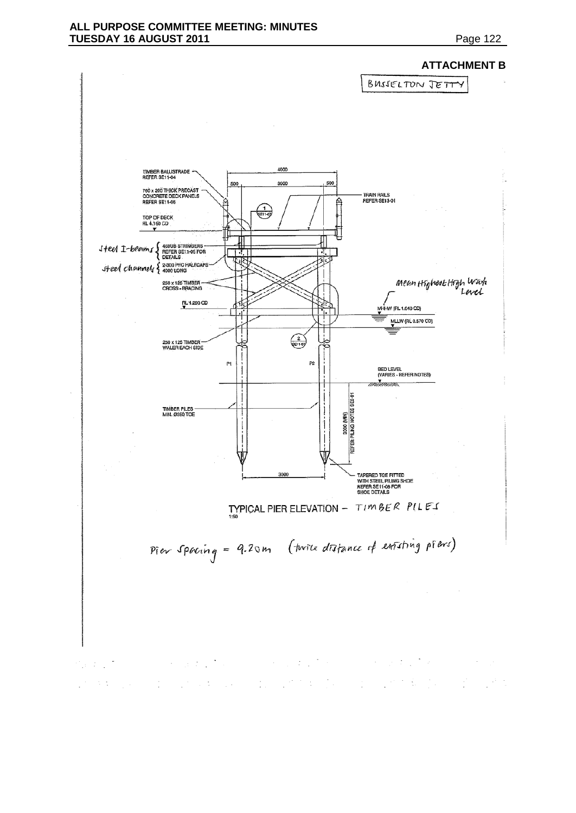#### **ALL PURPOSE COMMITTEE MEETING: MINUTES TUESDAY 16 AUGUST 2011 Page 122**

### **ATTACHMENT B**



ander de la participation de la participation de la participation de la participation de la participation de l<br>Les participations de la participation de la participation de la participation de l'approximation de la partic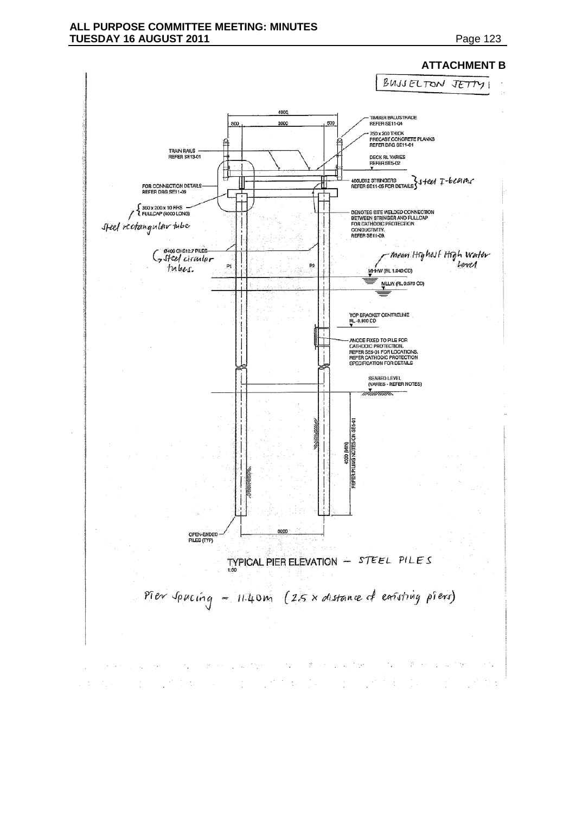# **ATTACHMENT B**

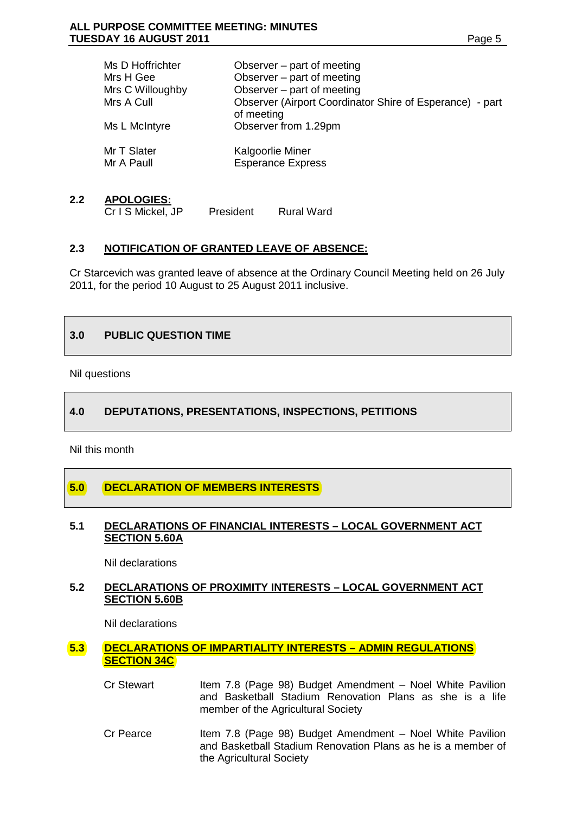| Ms D Hoffrichter          | Observer $-$ part of meeting                                           |
|---------------------------|------------------------------------------------------------------------|
| Mrs H Gee                 | Observer – part of meeting                                             |
| Mrs C Willoughby          | Observer – part of meeting                                             |
| Mrs A Cull                | Observer (Airport Coordinator Shire of Esperance) - part<br>of meeting |
| Ms L McIntyre             | Observer from 1.29pm                                                   |
| Mr T Slater<br>Mr A Paull | Kalgoorlie Miner<br><b>Esperance Express</b>                           |

#### **2.2 APOLOGIES:**

Cr I S Mickel, JP President Rural Ward

# **2.3 NOTIFICATION OF GRANTED LEAVE OF ABSENCE:**

Cr Starcevich was granted leave of absence at the Ordinary Council Meeting held on 26 July 2011, for the period 10 August to 25 August 2011 inclusive.

## **3.0 PUBLIC QUESTION TIME**

Nil questions

## **4.0 DEPUTATIONS, PRESENTATIONS, INSPECTIONS, PETITIONS**

Nil this month

# **5.0 DECLARATION OF MEMBERS INTERESTS**

#### **5.1 DECLARATIONS OF FINANCIAL INTERESTS – LOCAL GOVERNMENT ACT SECTION 5.60A**

Nil declarations

## **5.2 DECLARATIONS OF PROXIMITY INTERESTS – LOCAL GOVERNMENT ACT SECTION 5.60B**

Nil declarations

#### **5.3 DECLARATIONS OF IMPARTIALITY INTERESTS – ADMIN REGULATIONS SECTION 34C**

- Cr Stewart Item 7.8 (Page 98) Budget Amendment Noel White Pavilion and Basketball Stadium Renovation Plans as she is a life member of the Agricultural Society
- Cr Pearce Item 7.8 (Page 98) Budget Amendment Noel White Pavilion and Basketball Stadium Renovation Plans as he is a member of the Agricultural Society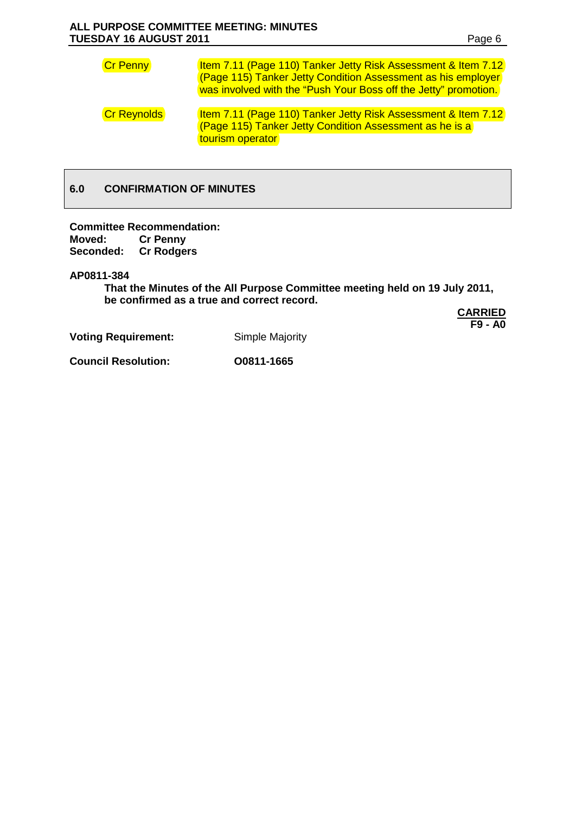| <b>Cr Penny</b>    | Item 7.11 (Page 110) Tanker Jetty Risk Assessment & Item 7.12<br>(Page 115) Tanker Jetty Condition Assessment as his employer<br>was involved with the "Push Your Boss off the Jetty" promotion. |
|--------------------|--------------------------------------------------------------------------------------------------------------------------------------------------------------------------------------------------|
| <b>Cr Reynolds</b> | <b>Item 7.11 (Page 110) Tanker Jetty Risk Assessment &amp; Item 7.12</b><br>(Page 115) Tanker Jetty Condition Assessment as he is a<br>tourism operator                                          |

# **6.0 CONFIRMATION OF MINUTES**

**Committee Recommendation: Cr Penny<br>Cr Rodgers Seconded:** 

**AP0811-384**

**That the Minutes of the All Purpose Committee meeting held on 19 July 2011, be confirmed as a true and correct record.**

> **CARRIED F9 - A0**

**Voting Requirement:** Simple Majority

**Council Resolution: O0811-1665**